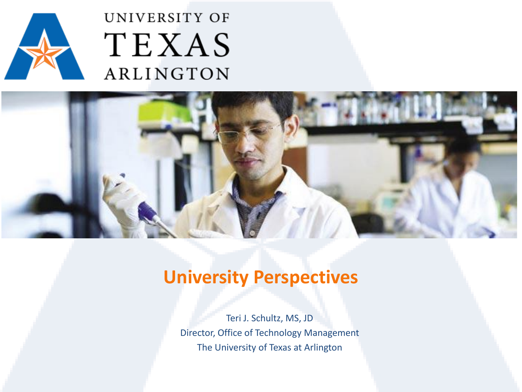

### UNIVERSITY OF TEXAS ARLINGTON



### **University Perspectives**

Teri J. Schultz, MS, JD Director, Office of Technology Management The University of Texas at Arlington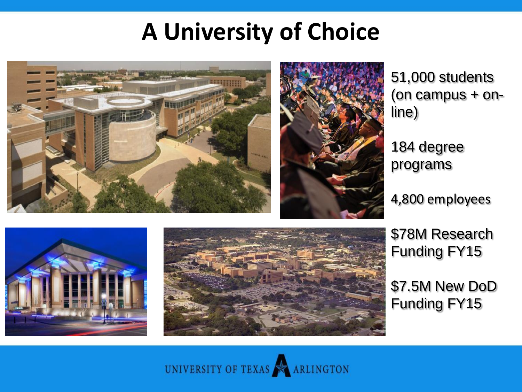## **A University of Choice**



51,000 students (on campus + online)

184 degree programs

4,800 employees





\$78M Research Funding FY15

\$7.5M New DoD Funding FY15

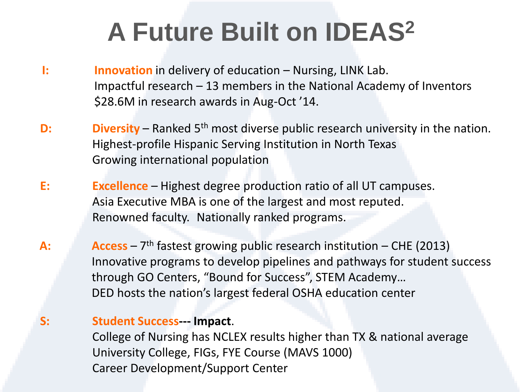## **A Future Built on IDEAS<sup>2</sup>**

- **I: Innovation** in delivery of education Nursing, LINK Lab. Impactful research – 13 members in the National Academy of Inventors \$28.6M in research awards in Aug-Oct '14.
- **D:** Diversity Ranked 5<sup>th</sup> most diverse public research university in the nation. Highest-profile Hispanic Serving Institution in North Texas Growing international population
- **E: Excellence** Highest degree production ratio of all UT campuses. Asia Executive MBA is one of the largest and most reputed. Renowned faculty. Nationally ranked programs.
- A: **Access** 7<sup>th</sup> fastest growing public research institution CHE (2013) Innovative programs to develop pipelines and pathways for student success through GO Centers, "Bound for Success", STEM Academy… DED hosts the nation's largest federal OSHA education center

#### **S: Student Success--- Impact**.

College of Nursing has NCLEX results higher than TX & national average University College, FIGs, FYE Course (MAVS 1000) Career Development/Support Center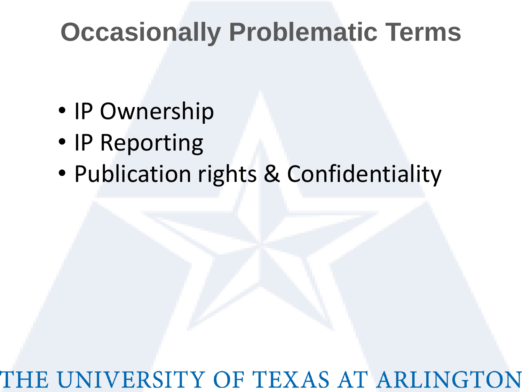## **Occasionally Problematic Terms**

- IP Ownership
- IP Reporting
- Publication rights & Confidentiality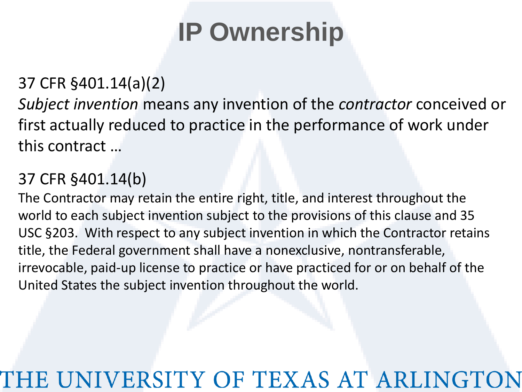## **IP Ownership**

#### 37 CFR §401.14(a)(2)

*Subject invention* means any invention of the *contractor* conceived or first actually reduced to practice in the performance of work under this contract …

#### 37 CFR §401.14(b)

The Contractor may retain the entire right, title, and interest throughout the world to each subject invention subject to the provisions of this clause and 35 USC §203. With respect to any subject invention in which the Contractor retains title, the Federal government shall have a nonexclusive, nontransferable, irrevocable, paid-up license to practice or have practiced for or on behalf of the United States the subject invention throughout the world.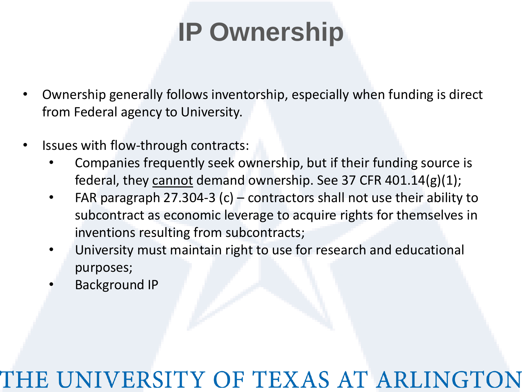## **IP Ownership**

- Ownership generally follows inventorship, especially when funding is direct from Federal agency to University.
- Issues with flow-through contracts:
	- Companies frequently seek ownership, but if their funding source is federal, they cannot demand ownership. See 37 CFR  $401.14(g)(1)$ ;
	- FAR paragraph 27.304-3 (c) contractors shall not use their ability to subcontract as economic leverage to acquire rights for themselves in inventions resulting from subcontracts;
	- University must maintain right to use for research and educational purposes;
	- Background IP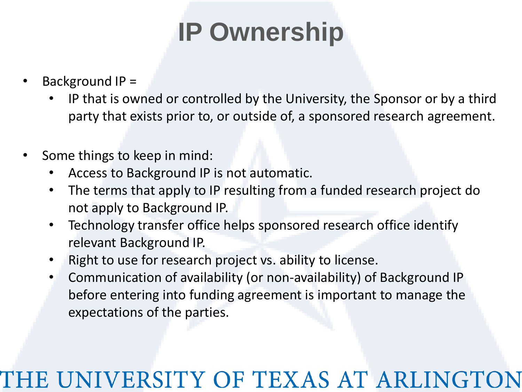## **IP Ownership**

- Background IP =
	- IP that is owned or controlled by the University, the Sponsor or by a third party that exists prior to, or outside of, a sponsored research agreement.
- Some things to keep in mind:
	- Access to Background IP is not automatic.
	- The terms that apply to IP resulting from a funded research project do not apply to Background IP.
	- Technology transfer office helps sponsored research office identify relevant Background IP.
	- Right to use for research project vs. ability to license.
	- Communication of availability (or non-availability) of Background IP before entering into funding agreement is important to manage the expectations of the parties.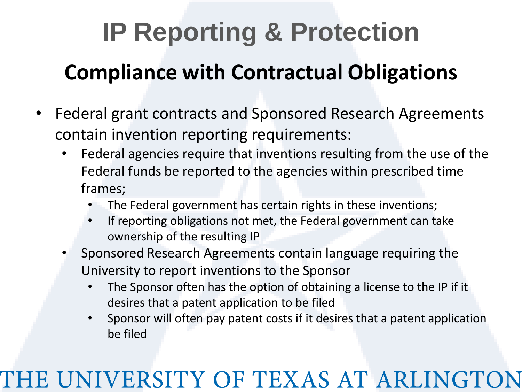# **Compliance with Contractual Obligations IP Reporting & Protection**

- Federal grant contracts and Sponsored Research Agreements contain invention reporting requirements:
	- Federal agencies require that inventions resulting from the use of the Federal funds be reported to the agencies within prescribed time frames;
		- The Federal government has certain rights in these inventions;
		- If reporting obligations not met, the Federal government can take ownership of the resulting IP
	- Sponsored Research Agreements contain language requiring the University to report inventions to the Sponsor
		- The Sponsor often has the option of obtaining a license to the IP if it desires that a patent application to be filed
		- Sponsor will often pay patent costs if it desires that a patent application be filed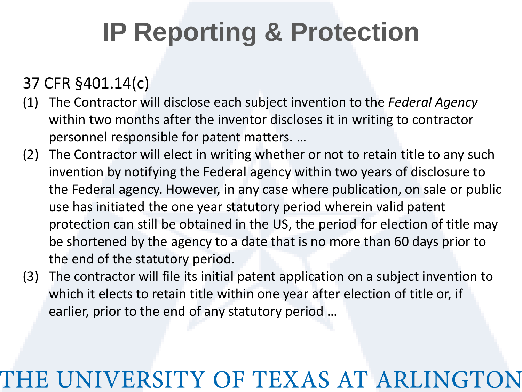## **IP Reporting & Protection**

### 37 CFR §401.14(c)

- (1) The Contractor will disclose each subject invention to the *Federal Agency* within two months after the inventor discloses it in writing to contractor personnel responsible for patent matters. …
- (2) The Contractor will elect in writing whether or not to retain title to any such invention by notifying the Federal agency within two years of disclosure to the Federal agency. However, in any case where publication, on sale or public use has initiated the one year statutory period wherein valid patent protection can still be obtained in the US, the period for election of title may be shortened by the agency to a date that is no more than 60 days prior to the end of the statutory period.
- (3) The contractor will file its initial patent application on a subject invention to which it elects to retain title within one year after election of title or, if earlier, prior to the end of any statutory period …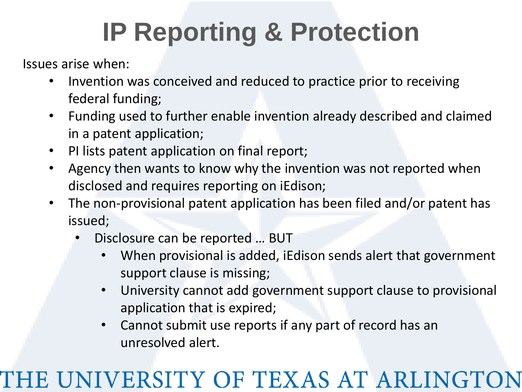## **IP Reporting & Protection**

Issues arise when:

- Invention was conceived and reduced to practice prior to receiving federal funding;
- Funding used to further enable invention already described and claimed in a patent application;
- PI lists patent application on final report;
- Agency then wants to know why the invention was not reported when disclosed and requires reporting on iEdison;
- The non-provisional patent application has been filed and/or patent has issued;
	- Disclosure can be reported … BUT
		- When provisional is added, iEdison sends alert that government support clause is missing;
		- University cannot add government support clause to provisional application that is expired;
		- Cannot submit use reports if any part of record has an unresolved alert.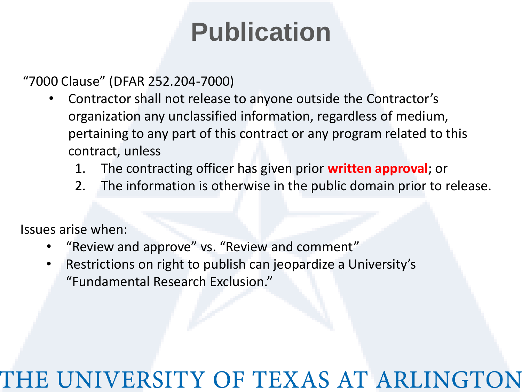"7000 Clause" (DFAR 252.204-7000)

- Contractor shall not release to anyone outside the Contractor's organization any unclassified information, regardless of medium, pertaining to any part of this contract or any program related to this contract, unless
	- 1. The contracting officer has given prior **written approval**; or
	- 2. The information is otherwise in the public domain prior to release.

Issues arise when:

- "Review and approve" vs. "Review and comment"
- Restrictions on right to publish can jeopardize a University's "Fundamental Research Exclusion."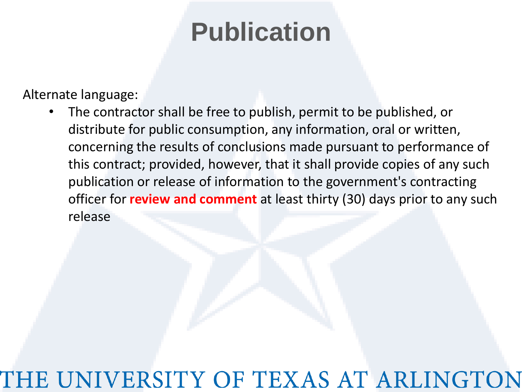Alternate language:

• The contractor shall be free to publish, permit to be published, or distribute for public consumption, any information, oral or written, concerning the results of conclusions made pursuant to performance of this contract; provided, however, that it shall provide copies of any such publication or release of information to the government's contracting officer for **review and comment** at least thirty (30) days prior to any such release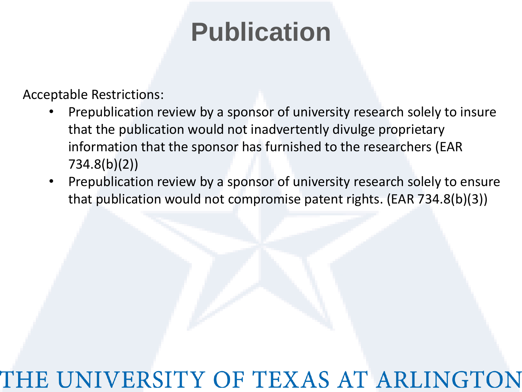Acceptable Restrictions:

- Prepublication review by a sponsor of university research solely to insure that the publication would not inadvertently divulge proprietary information that the sponsor has furnished to the researchers (EAR 734.8(b)(2))
- Prepublication review by a sponsor of university research solely to ensure that publication would not compromise patent rights. (EAR 734.8(b)(3))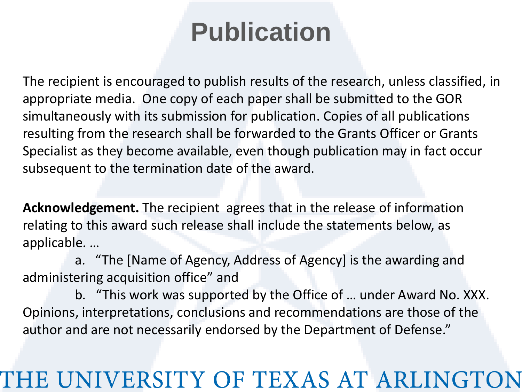The recipient is encouraged to publish results of the research, unless classified, in appropriate media. One copy of each paper shall be submitted to the GOR simultaneously with its submission for publication. Copies of all publications resulting from the research shall be forwarded to the Grants Officer or Grants Specialist as they become available, even though publication may in fact occur subsequent to the termination date of the award.

**Acknowledgement.** The recipient agrees that in the release of information relating to this award such release shall include the statements below, as applicable. …

a. "The [Name of Agency, Address of Agency] is the awarding and administering acquisition office" and

b. "This work was supported by the Office of … under Award No. XXX. Opinions, interpretations, conclusions and recommendations are those of the author and are not necessarily endorsed by the Department of Defense."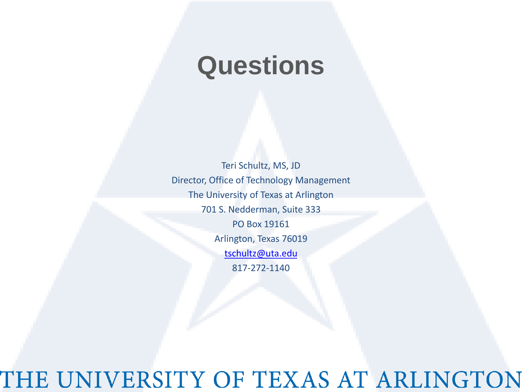## **Questions**

Teri Schultz, MS, JD Director, Office of Technology Management The University of Texas at Arlington 701 S. Nedderman, Suite 333 PO Box 19161 Arlington, Texas 76019 [tschultz@uta.edu](mailto:tschultz@uta.edu) 817-272-1140